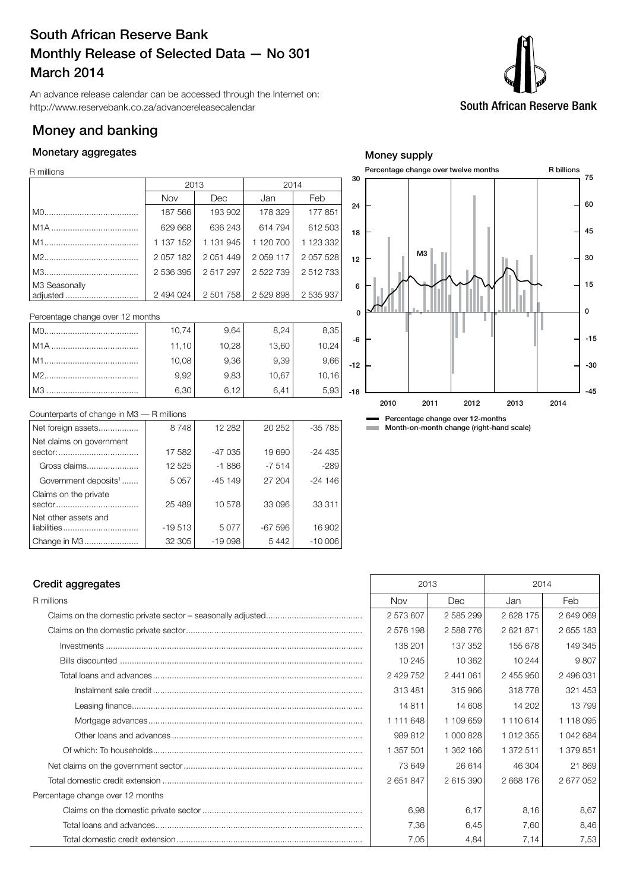## South African Reserve Bank Monthly Release of Selected Data — No 301 March 2014

An advance release calendar can be accessed through the Internet on: http://www.reservebank.co.za/advancereleasecalendar

## Money and banking

## Monetary aggregates

R millions

|               | 2013          |               | 2014       |           |  |  |  |
|---------------|---------------|---------------|------------|-----------|--|--|--|
|               | <b>Nov</b>    | Dec           | Jan        | Feb       |  |  |  |
|               | 187 566       | 193 902       | 178 329    | 177851    |  |  |  |
|               | 629 668       | 636 243       | 614 794    | 612 503   |  |  |  |
|               | 1 137 152     | 1 131 945     | 1 120 700  | 1 123 332 |  |  |  |
|               | 2 0 5 7 1 8 2 | 2 0 5 1 4 4 9 | 2 0 59 117 | 2 057 528 |  |  |  |
|               | 2 536 395     | 2517297       | 2 522 739  | 2 512 733 |  |  |  |
| M3 Seasonally |               |               |            |           |  |  |  |
| adjusted      | 2 494 024     | 2 501 758     | 2529898    | 2 535 937 |  |  |  |

Percentage change over 12 months

| M <sub>O</sub> | 10,74 | 9.64  | 8,24  | 8,35   |  |
|----------------|-------|-------|-------|--------|--|
|                | 11,10 | 10,28 | 13,60 | 10,24  |  |
| l M1           | 10,08 | 9.36  | 9.39  | 9,66   |  |
|                | 9.92  | 9,83  | 10,67 | 10, 16 |  |
| M3             | 6,30  | 6.12  | 64    | 5.93   |  |



Percentage change over 12-months **Month-on-month change (right-hand scale)** 

Counterparts of change in M3 — R millions

| Net foreign assets                  | 8748     | 12 2 8 2 | 20 25 2  | $-35785$ |
|-------------------------------------|----------|----------|----------|----------|
| Net claims on government<br>sector: | 17 582   | $-47035$ | 19690    | $-24435$ |
| Gross claims                        | 12525    | $-1886$  | $-7514$  | $-289$   |
| Government deposits <sup>1</sup>    | 5 0 5 7  | $-45149$ | 27 204   | $-24146$ |
| Claims on the private<br>sector     | 25 489   | 10578    | 33 096   | 33 311   |
| Net other assets and                | $-19513$ | 5077     | $-67596$ | 16 902   |
| Change in M3                        | 32 305   | $-19098$ | 5442     | $-10006$ |

## Credit aggregates 2014

| R millions                       | <b>Nov</b> | Dec.      | Jan       | Feb       |
|----------------------------------|------------|-----------|-----------|-----------|
|                                  | 2573607    | 2585299   | 2628 175  | 2 649 069 |
|                                  | 2578198    | 2588776   | 2621871   | 2 655 183 |
|                                  | 138 201    | 137 352   | 155 678   | 149 345   |
|                                  | 10 245     | 10 362    | 10 244    | 9807      |
|                                  | 2 429 752  | 2 441 061 | 2 455 950 | 2 496 031 |
|                                  | 313481     | 315 966   | 318778    | 321 453   |
|                                  | 14811      | 14 608    | 14 202    | 13799     |
|                                  | 1 111 648  | 1 109 659 | 1 110 614 | 1 118 095 |
|                                  | 989 812    | 1 000 828 | 1 012 355 | 1 042 684 |
|                                  | 1 357 501  | 1 362 166 | 1 372 511 | 1 379 851 |
|                                  | 73 649     | 26 614    | 46 304    | 21 869    |
|                                  | 2651847    | 2 615 390 | 2668176   | 2 677 052 |
| Percentage change over 12 months |            |           |           |           |
|                                  | 6.98       | 6,17      | 8,16      | 8,67      |
|                                  | 7,36       | 6,45      | 7,60      | 8,46      |
|                                  | 7,05       | 4,84      | 7,14      | 7,53      |

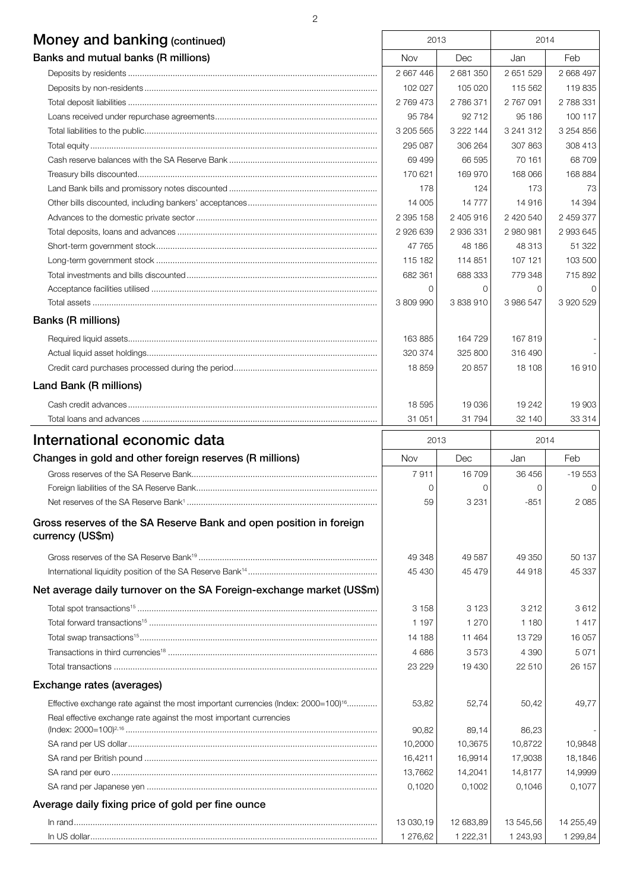| Money and banking (continued)                                                                                                                                       | 2013                  |                       | 2014                  |                       |
|---------------------------------------------------------------------------------------------------------------------------------------------------------------------|-----------------------|-----------------------|-----------------------|-----------------------|
| Banks and mutual banks (R millions)                                                                                                                                 | Nov                   | Dec                   | Jan                   | Feb                   |
|                                                                                                                                                                     | 2 667 446             | 2 681 350             | 2 651 529             | 2 668 497             |
|                                                                                                                                                                     | 102 027               | 105 020               | 115 562               | 119835                |
|                                                                                                                                                                     | 2 769 473             | 2786371               | 2 767 091             | 2 788 331             |
|                                                                                                                                                                     | 95 784                | 92 712                | 95 186                | 100 117               |
|                                                                                                                                                                     | 3 205 565             | 3 222 144             | 3 241 312             | 3 2 5 4 8 5 6         |
|                                                                                                                                                                     | 295 087               | 306 264               | 307 863               | 308 413               |
|                                                                                                                                                                     | 69 499                | 66 595                | 70 161                | 68 709                |
|                                                                                                                                                                     | 170 621               | 169 970               | 168 066               | 168 884               |
|                                                                                                                                                                     | 178                   | 124                   | 173                   | 73                    |
|                                                                                                                                                                     | 14 005                | 14 7 7 7              | 14 916                | 14 394                |
|                                                                                                                                                                     | 2 395 158             | 2 405 916             | 2 420 540             | 2 459 377             |
| Total deposits, loans and advances ……………………………………………………………………………………                                                                                                 | 2 926 639             | 2 936 331             | 2 980 981             | 2 993 645             |
|                                                                                                                                                                     | 47 765                | 48 186                | 48 313                | 51 322                |
|                                                                                                                                                                     | 115 182               | 114 851               | 107 121               | 103 500               |
|                                                                                                                                                                     | 682 361               | 688 333               | 779 348               | 715 892               |
|                                                                                                                                                                     | $\Omega$              | $\Omega$              | $\Omega$              | $\Omega$              |
|                                                                                                                                                                     | 3 809 990             | 3838910               | 3 986 547             | 3 920 529             |
| <b>Banks (R millions)</b>                                                                                                                                           |                       |                       |                       |                       |
|                                                                                                                                                                     | 163885                | 164 729               | 167819                |                       |
|                                                                                                                                                                     | 320 374               | 325 800               | 316 490               |                       |
|                                                                                                                                                                     | 18859                 | 20 857                | 18 108                | 16910                 |
| Land Bank (R millions)                                                                                                                                              |                       |                       |                       |                       |
|                                                                                                                                                                     | 18 595                | 19 036                | 19 24 2               | 19 903                |
|                                                                                                                                                                     | 31 051                | 31 794                | 32 140                | 33 314                |
|                                                                                                                                                                     |                       |                       |                       |                       |
| International economic data                                                                                                                                         | 2013                  |                       | 2014                  |                       |
| Changes in gold and other foreign reserves (R millions)                                                                                                             | Nov                   | Dec                   | Jan                   | Feb                   |
|                                                                                                                                                                     | 7911                  | 16 709                | 36 456                | $-19553$              |
|                                                                                                                                                                     | 0                     | $\Omega$              | 0                     | 0                     |
|                                                                                                                                                                     | 59                    | 3 2 3 1               | $-851$                | 2085                  |
| Gross reserves of the SA Reserve Bank and open position in foreign<br>currency (US\$m)                                                                              |                       |                       |                       |                       |
|                                                                                                                                                                     | 49 348                | 49 587                | 49 350                | 50 137                |
|                                                                                                                                                                     | 45 430                | 45 479                | 44 918                | 45 337                |
| Net average daily turnover on the SA Foreign-exchange market (US\$m)                                                                                                |                       |                       |                       |                       |
|                                                                                                                                                                     | 3 1 5 8               | 3 1 2 3               | 3 2 1 2               | 3612                  |
|                                                                                                                                                                     | 1 1 9 7               | 1 270                 | 1 1 8 0               | 1417                  |
|                                                                                                                                                                     | 14 188                | 11 464                | 13729                 | 16 057                |
|                                                                                                                                                                     | 4686                  | 3573                  | 4 3 9 0               | 5071                  |
|                                                                                                                                                                     | 23 2 29               | 19 430                | 22 510                | 26 157                |
| Exchange rates (averages)                                                                                                                                           |                       |                       |                       |                       |
|                                                                                                                                                                     |                       |                       |                       |                       |
| Effective exchange rate against the most important currencies (Index: 2000=100) <sup>16</sup><br>Real effective exchange rate against the most important currencies | 53,82                 | 52,74                 | 50,42                 | 49,77                 |
|                                                                                                                                                                     | 90,82                 | 89,14                 | 86,23                 |                       |
|                                                                                                                                                                     | 10,2000               | 10,3675               | 10,8722               | 10,9848               |
|                                                                                                                                                                     | 16,4211               | 16,9914               | 17,9038               | 18,1846               |
|                                                                                                                                                                     | 13,7662               | 14,2041               | 14,8177               | 14,9999               |
|                                                                                                                                                                     | 0,1020                | 0,1002                | 0,1046                | 0,1077                |
| Average daily fixing price of gold per fine ounce                                                                                                                   |                       |                       |                       |                       |
|                                                                                                                                                                     |                       |                       |                       |                       |
|                                                                                                                                                                     |                       |                       |                       |                       |
|                                                                                                                                                                     | 13 030,19<br>1 276,62 | 12 683,89<br>1 222,31 | 13 545,56<br>1 243,93 | 14 255,49<br>1 299,84 |

2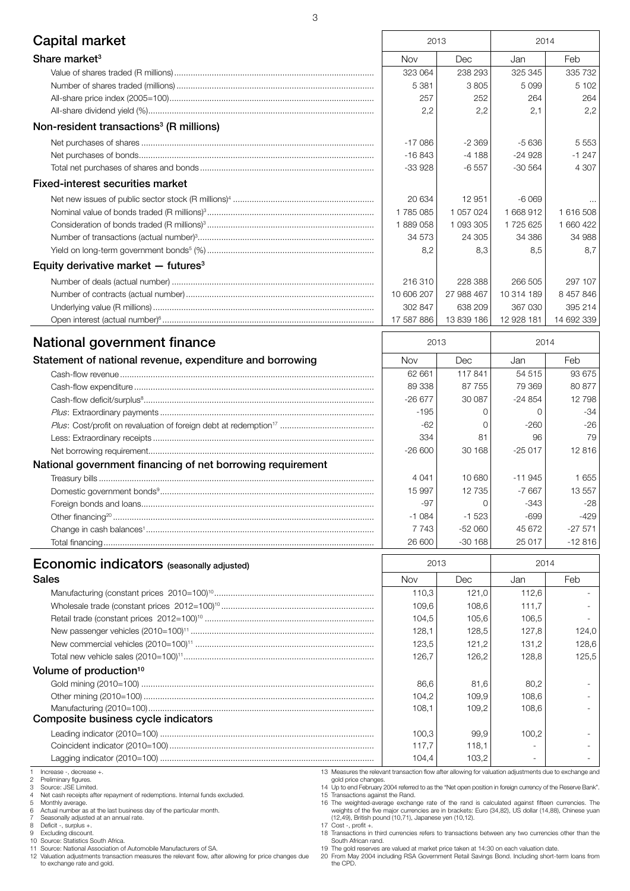| Capital market                                             | 2013       |            | 2014       |            |
|------------------------------------------------------------|------------|------------|------------|------------|
| Share market <sup>3</sup>                                  | Nov        | Dec        | Jan        | Feb        |
|                                                            | 323 064    | 238 293    | 325 345    | 335 732    |
|                                                            | 5 3 8 1    | 3805       | 5 0 9 9    | 5 1 0 2    |
|                                                            | 257        | 252        | 264        | 264        |
|                                                            | 2,2        | 2,2        | 2,1        | 2,2        |
| Non-resident transactions <sup>3</sup> (R millions)        |            |            |            |            |
|                                                            | $-17086$   | $-2369$    | $-5636$    | 5 5 5 3    |
|                                                            | $-16843$   | $-4188$    | $-24928$   | $-1247$    |
|                                                            | -33 928    | $-6557$    | $-30564$   | 4 3 0 7    |
| <b>Fixed-interest securities market</b>                    |            |            |            |            |
|                                                            | 20 634     | 12 951     | $-6069$    |            |
|                                                            | 1785085    | 1 057 024  | 1 668 912  | 1 616 508  |
|                                                            | 1889058    | 1 093 305  | 1725625    | 1 660 422  |
|                                                            | 34 573     | 24 305     | 34 386     | 34 988     |
|                                                            | 8,2        | 8,3        | 8,5        | 8,7        |
| Equity derivative market $-$ futures <sup>3</sup>          |            |            |            |            |
|                                                            | 216310     | 228 388    | 266 505    | 297 107    |
|                                                            | 10 606 207 | 27 988 467 | 10 314 189 | 8 457 846  |
|                                                            | 302 847    | 638 209    | 367 030    | 395 214    |
|                                                            | 17 587 886 | 13 839 186 | 12 928 181 | 14 692 339 |
| National government finance                                | 2013       |            | 2014       |            |
| Statement of national revenue, expenditure and borrowing   | Nov        | Dec        | Jan        | Feb        |
|                                                            | 62 661     | 117841     | 54 515     | 93 675     |
|                                                            | 89 338     | 87 755     | 79 369     | 80 877     |
|                                                            | $-26677$   | 30 087     | $-24854$   | 12798      |
|                                                            | $-195$     | 0          | 0          | -34        |
|                                                            | $-62$      | 0          | $-260$     | $-26$      |
|                                                            | 334        | 81         | 96         | 79         |
|                                                            | $-26600$   | 30 168     | $-25017$   | 12816      |
| National government financing of net borrowing requirement |            |            |            |            |
|                                                            | 4 0 4 1    | 10 680     | $-11945$   | 1 655      |
|                                                            | 15 997     | 12 735     | $-7667$    | 13 557     |
|                                                            | -97        | 0          | $-343$     | -28        |
|                                                            | $-1084$    | $-1523$    | $-699$     | $-429$     |
|                                                            | 7743       | $-52060$   | 45 672     | $-27571$   |
|                                                            | 26 600     | $-30168$   | 25 017     | $-12816$   |
| <b>Economic indicators</b> (seasonally adjusted)           | 2013       |            | 2014       |            |
| <b>Sales</b>                                               | Nov        | Dec        | Jan        | Feb        |

| ECONOMIC INQUIDICATORS (Seasonally adjusted) | 2UU        |       | 2014  |       |
|----------------------------------------------|------------|-------|-------|-------|
| <b>Sales</b>                                 | <b>Nov</b> | Dec   | Jan   | Feb   |
|                                              | 110.3      | 121.0 | 112,6 |       |
|                                              | 109.6      | 108.6 | 111.7 |       |
|                                              | 104.5      | 105.6 | 106.5 |       |
|                                              | 128.1      | 128.5 | 127,8 | 124,0 |
|                                              | 123,5      | 121.2 | 131,2 | 128,6 |
|                                              | 126.7      | 126.2 | 128.8 | 125.5 |
| Volume of production <sup>10</sup>           |            |       |       |       |
|                                              | 86.6       | 81.6  | 80.2  |       |
|                                              | 104.2      | 109.9 | 108.6 |       |
|                                              | 108.1      | 109.2 | 108.6 |       |
| Composite business cycle indicators          |            |       |       |       |
|                                              | 100.3      | 99.9  | 100.2 |       |
|                                              | 117.7      | 118.1 |       |       |
|                                              | 104.4      | 103,2 | ۰     |       |

1 Increase -, decrease +.<br>2 Preliminary figures.<br>3 Source: JSE Limited.

2 Preliminary figures. 3 Source: JSE Limited.

4 Net cash receipts after repayment of redemptions. Internal funds excluded.<br>5 Monthly average.<br>6 Actual number as at the last business day of the particular month.<br>7 Seasonally adjusted at an annual rate.

5 Monthly average. 6 Actual number as at the last business day of the particular month.

7 Seasonally adjusted at an annual rate. 8 Deficit -, surplus +.

9 Excluding discount. 10 Source: Statistics South Africa.

11 Source: National Association of Automobile Manufacturers of SA. 12 Valuation adjustments transaction measures the relevant flow, after allowing for price changes due to exchange rate and gold.

13 Measures the relevant transaction flow after allowing for valuation adjustments due to exchange and gold price changes. 14 Up to end February 2004 referred to as the "Net open position in foreign currency of the Reserve Bank".

15 Transactions against the Rand.<br>16 Transactions against the Rand.<br>16 Tre weights of the five major currencies are in brackets: Euro (34,82), US dollar (14,88), Chinese yuan<br>1(2,49), British pound (10,71), Japanese yen (1

South African rand. 19 The gold reserves are valued at market price taken at 14:30 on each valuation date. 20 From May 2004 including RSA Government Retail Savings Bond. Including short-term loans from the CPD.

 $\overline{a}$